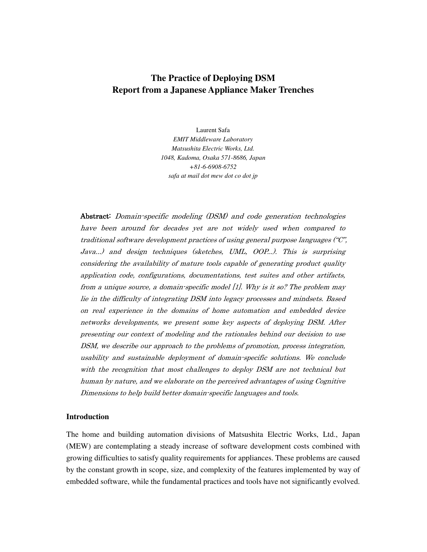# **The Practice of Deploying DSM Report from a Japanese Appliance Maker Trenches**

Laurent Safa *EMIT Middleware Laboratory Matsushita Electric Works, Ltd. 1048, Kadoma, Osaka 571-8686, Japan +81-6-6908-6752 safa at mail dot mew dot co dot jp* 

Abstract: Domain-specific modeling (DSM) and code generation technologies have been around for decades yet are not widely used when compared to traditional software development practices of using general purpose languages ("C", Java...) and design techniques (sketches, UML, OOP...). This is surprising considering the availability of mature tools capable of generating product quality application code, configurations, documentations, test suites and other artifacts, from a unique source, a domain-specific model [1]. Why is it so? The problem may lie in the difficulty of integrating DSM into legacy processes and mindsets. Based on real experience in the domains of home automation and embedded device networks developments, we present some key aspects of deploying DSM. After presenting our context of modeling and the rationales behind our decision to use DSM, we describe our approach to the problems of promotion, process integration, usability and sustainable deployment of domain-specific solutions. We conclude with the recognition that most challenges to deploy DSM are not technical but human by nature, and we elaborate on the perceived advantages of using Cognitive Dimensions to help build better domain-specific languages and tools.

#### **Introduction**

The home and building automation divisions of Matsushita Electric Works, Ltd., Japan (MEW) are contemplating a steady increase of software development costs combined with growing difficulties to satisfy quality requirements for appliances. These problems are caused by the constant growth in scope, size, and complexity of the features implemented by way of embedded software, while the fundamental practices and tools have not significantly evolved.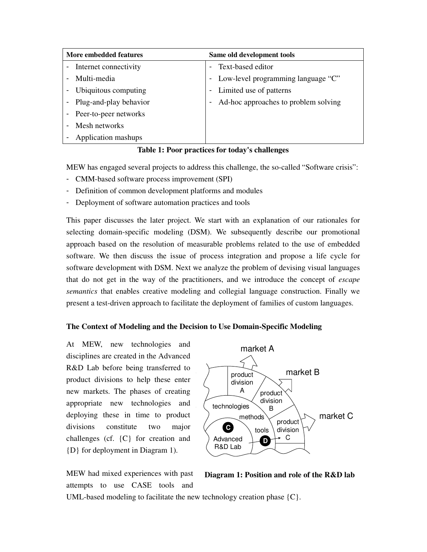| More embedded features |                        | Same old development tools |                                      |
|------------------------|------------------------|----------------------------|--------------------------------------|
|                        | Internet connectivity  |                            | Text-based editor                    |
|                        | Multi-media            |                            | Low-level programming language "C"   |
|                        | Ubiquitous computing   |                            | Limited use of patterns              |
|                        | Plug-and-play behavior |                            | Ad-hoc approaches to problem solving |
|                        | Peer-to-peer networks  |                            |                                      |
|                        | Mesh networks          |                            |                                      |
|                        | Application mashups    |                            |                                      |

**Table 1: Poor practices for today's challenges** 

MEW has engaged several projects to address this challenge, the so-called "Software crisis":

- CMM-based software process improvement (SPI)
- Definition of common development platforms and modules
- Deployment of software automation practices and tools

This paper discusses the later project. We start with an explanation of our rationales for selecting domain-specific modeling (DSM). We subsequently describe our promotional approach based on the resolution of measurable problems related to the use of embedded software. We then discuss the issue of process integration and propose a life cycle for software development with DSM. Next we analyze the problem of devising visual languages that do not get in the way of the practitioners, and we introduce the concept of *escape semantics* that enables creative modeling and collegial language construction. Finally we present a test-driven approach to facilitate the deployment of families of custom languages.

### **The Context of Modeling and the Decision to Use Domain-Specific Modeling**

At MEW, new technologies and disciplines are created in the Advanced R&D Lab before being transferred to product divisions to help these enter new markets. The phases of creating appropriate new technologies and deploying these in time to product divisions constitute two major challenges (cf. {C} for creation and {D} for deployment in Diagram 1).

MEW had mixed experiences with past attempts to use CASE tools and



**Diagram 1: Position and role of the R&D lab**

UML-based modeling to facilitate the new technology creation phase {C}.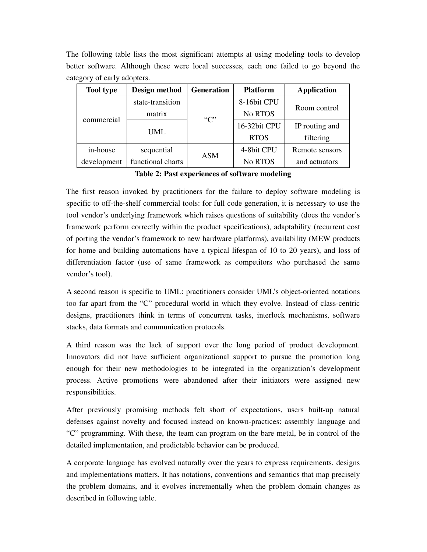The following table lists the most significant attempts at using modeling tools to develop better software. Although these were local successes, each one failed to go beyond the category of early adopters.

| <b>Tool type</b> | Design method     | <b>Generation</b> | <b>Platform</b> | <b>Application</b> |
|------------------|-------------------|-------------------|-----------------|--------------------|
|                  | state-transition  |                   | 8-16bit CPU     | Room control       |
| commercial       | matrix            | C                 | No RTOS         |                    |
|                  | UML               |                   | 16-32bit CPU    | IP routing and     |
|                  |                   |                   | <b>RTOS</b>     | filtering          |
| in-house         | sequential        | <b>ASM</b>        | 4-8bit CPU      | Remote sensors     |
| development      | functional charts |                   | No RTOS         | and actuators      |

**Table 2: Past experiences of software modeling** 

The first reason invoked by practitioners for the failure to deploy software modeling is specific to off-the-shelf commercial tools: for full code generation, it is necessary to use the tool vendor's underlying framework which raises questions of suitability (does the vendor's framework perform correctly within the product specifications), adaptability (recurrent cost of porting the vendor's framework to new hardware platforms), availability (MEW products for home and building automations have a typical lifespan of 10 to 20 years), and loss of differentiation factor (use of same framework as competitors who purchased the same vendor's tool).

A second reason is specific to UML: practitioners consider UML's object-oriented notations too far apart from the "C" procedural world in which they evolve. Instead of class-centric designs, practitioners think in terms of concurrent tasks, interlock mechanisms, software stacks, data formats and communication protocols.

A third reason was the lack of support over the long period of product development. Innovators did not have sufficient organizational support to pursue the promotion long enough for their new methodologies to be integrated in the organization's development process. Active promotions were abandoned after their initiators were assigned new responsibilities.

After previously promising methods felt short of expectations, users built-up natural defenses against novelty and focused instead on known-practices: assembly language and "C" programming. With these, the team can program on the bare metal, be in control of the detailed implementation, and predictable behavior can be produced.

A corporate language has evolved naturally over the years to express requirements, designs and implementations matters. It has notations, conventions and semantics that map precisely the problem domains, and it evolves incrementally when the problem domain changes as described in following table.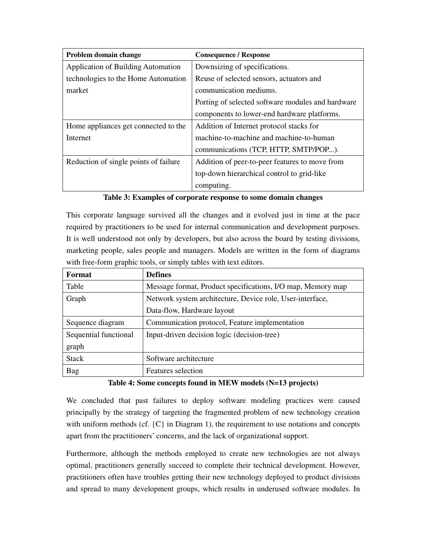| Problem domain change                     | <b>Consequence / Response</b>                     |
|-------------------------------------------|---------------------------------------------------|
| <b>Application of Building Automation</b> | Downsizing of specifications.                     |
| technologies to the Home Automation       | Reuse of selected sensors, actuators and          |
| market                                    | communication mediums.                            |
|                                           | Porting of selected software modules and hardware |
|                                           | components to lower-end hardware platforms.       |
| Home appliances get connected to the      | Addition of Internet protocol stacks for          |
| Internet                                  | machine-to-machine and machine-to-human           |
|                                           | communications (TCP, HTTP, SMTP/POP).             |
| Reduction of single points of failure     | Addition of peer-to-peer features to move from    |
|                                           | top-down hierarchical control to grid-like        |
|                                           | computing.                                        |

**Table 3: Examples of corporate response to some domain changes** 

This corporate language survived all the changes and it evolved just in time at the pace required by practitioners to be used for internal communication and development purposes. It is well understood not only by developers, but also across the board by testing divisions, marketing people, sales people and managers. Models are written in the form of diagrams with free-form graphic tools, or simply tables with text editors.

| Format                | <b>Defines</b>                                              |
|-----------------------|-------------------------------------------------------------|
| Table                 | Message format, Product specifications, I/O map, Memory map |
| Graph                 | Network system architecture, Device role, User-interface,   |
|                       | Data-flow, Hardware layout                                  |
| Sequence diagram      | Communication protocol, Feature implementation              |
| Sequential functional | Input-driven decision logic (decision-tree)                 |
| graph                 |                                                             |
| <b>Stack</b>          | Software architecture                                       |
| Bag                   | Features selection                                          |

# **Table 4: Some concepts found in MEW models (N=13 projects)**

We concluded that past failures to deploy software modeling practices were caused principally by the strategy of targeting the fragmented problem of new technology creation with uniform methods (cf.  $\{C\}$  in Diagram 1), the requirement to use notations and concepts apart from the practitioners' concerns, and the lack of organizational support.

Furthermore, although the methods employed to create new technologies are not always optimal, practitioners generally succeed to complete their technical development. However, practitioners often have troubles getting their new technology deployed to product divisions and spread to many development groups, which results in underused software modules. In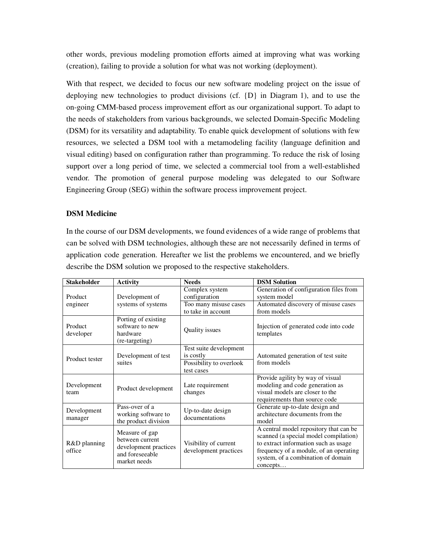other words, previous modeling promotion efforts aimed at improving what was working (creation), failing to provide a solution for what was not working (deployment).

With that respect, we decided to focus our new software modeling project on the issue of deploying new technologies to product divisions (cf. {D} in Diagram 1), and to use the on-going CMM-based process improvement effort as our organizational support. To adapt to the needs of stakeholders from various backgrounds, we selected Domain-Specific Modeling (DSM) for its versatility and adaptability. To enable quick development of solutions with few resources, we selected a DSM tool with a metamodeling facility (language definition and visual editing) based on configuration rather than programming. To reduce the risk of losing support over a long period of time, we selected a commercial tool from a well-established vendor. The promotion of general purpose modeling was delegated to our Software Engineering Group (SEG) within the software process improvement project.

## **DSM Medicine**

In the course of our DSM developments, we found evidences of a wide range of problems that can be solved with DSM technologies, although these are not necessarily defined in terms of application code generation. Hereafter we list the problems we encountered, and we briefly describe the DSM solution we proposed to the respective stakeholders.

| <b>Stakeholder</b>     | <b>Activity</b>                                                                               | <b>Needs</b>                                                                 | <b>DSM Solution</b>                                                                                                                                                                                                 |
|------------------------|-----------------------------------------------------------------------------------------------|------------------------------------------------------------------------------|---------------------------------------------------------------------------------------------------------------------------------------------------------------------------------------------------------------------|
| Product                | Development of<br>systems of systems                                                          | Complex system<br>configuration                                              | Generation of configuration files from<br>system model                                                                                                                                                              |
| engineer               |                                                                                               | Too many misuse cases<br>to take in account                                  | Automated discovery of misuse cases<br>from models                                                                                                                                                                  |
| Product<br>developer   | Porting of existing<br>software to new<br>hardware<br>(re-targeting)                          | Quality issues                                                               | Injection of generated code into code<br>templates                                                                                                                                                                  |
| Product tester         | Development of test<br>suites                                                                 | Test suite development<br>is costly<br>Possibility to overlook<br>test cases | Automated generation of test suite<br>from models                                                                                                                                                                   |
| Development<br>team    | Product development                                                                           | Late requirement<br>changes                                                  | Provide agility by way of visual<br>modeling and code generation as<br>visual models are closer to the<br>requirements than source code                                                                             |
| Development<br>manager | Pass-over of a<br>working software to<br>the product division                                 | Up-to-date design<br>documentations                                          | Generate up-to-date design and<br>architecture documents from the<br>model                                                                                                                                          |
| R&D planning<br>office | Measure of gap<br>between current<br>development practices<br>and foreseeable<br>market needs | Visibility of current<br>development practices                               | A central model repository that can be<br>scanned (a special model compilation)<br>to extract information such as usage<br>frequency of a module, of an operating<br>system, of a combination of domain<br>concepts |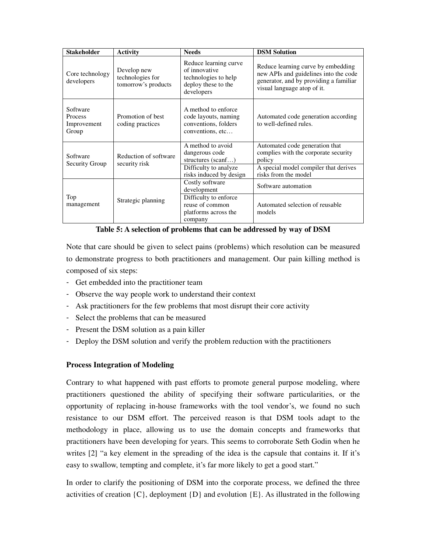| <b>Stakeholder</b>                                 | <b>Activity</b>                                        | <b>Needs</b>                                                                                        | <b>DSM Solution</b>                                                                                                                                  |
|----------------------------------------------------|--------------------------------------------------------|-----------------------------------------------------------------------------------------------------|------------------------------------------------------------------------------------------------------------------------------------------------------|
| Core technology<br>developers                      | Develop new<br>technologies for<br>tomorrow's products | Reduce learning curve<br>of innovative<br>technologies to help<br>deploy these to the<br>developers | Reduce learning curve by embedding<br>new APIs and guidelines into the code<br>generator, and by providing a familiar<br>visual language atop of it. |
| Software<br><b>Process</b><br>Improvement<br>Group | Promotion of best<br>coding practices                  | A method to enforce<br>code layouts, naming<br>conventions, folders<br>conventions, etc             | Automated code generation according<br>to well-defined rules.                                                                                        |
| Software<br>Security Group                         | Reduction of software<br>security risk                 | A method to avoid<br>dangerous code<br>structures $(scanf)$                                         | Automated code generation that<br>complies with the corporate security<br>policy                                                                     |
|                                                    |                                                        | Difficulty to analyze<br>risks induced by design                                                    | A special model compiler that derives<br>risks from the model                                                                                        |
|                                                    | Strategic planning                                     | Costly software<br>development                                                                      | Software automation                                                                                                                                  |
| Top<br>management                                  |                                                        | Difficulty to enforce<br>reuse of common<br>platforms across the<br>company                         | Automated selection of reusable<br>models                                                                                                            |

**Table 5: A selection of problems that can be addressed by way of DSM** 

Note that care should be given to select pains (problems) which resolution can be measured to demonstrate progress to both practitioners and management. Our pain killing method is composed of six steps:

- Get embedded into the practitioner team
- Observe the way people work to understand their context
- Ask practitioners for the few problems that most disrupt their core activity
- Select the problems that can be measured
- Present the DSM solution as a pain killer
- Deploy the DSM solution and verify the problem reduction with the practitioners

# **Process Integration of Modeling**

Contrary to what happened with past efforts to promote general purpose modeling, where practitioners questioned the ability of specifying their software particularities, or the opportunity of replacing in-house frameworks with the tool vendor's, we found no such resistance to our DSM effort. The perceived reason is that DSM tools adapt to the methodology in place, allowing us to use the domain concepts and frameworks that practitioners have been developing for years. This seems to corroborate Seth Godin when he writes [2] "a key element in the spreading of the idea is the capsule that contains it. If it's easy to swallow, tempting and complete, it's far more likely to get a good start."

In order to clarify the positioning of DSM into the corporate process, we defined the three activities of creation  $\{C\}$ , deployment  $\{D\}$  and evolution  $\{E\}$ . As illustrated in the following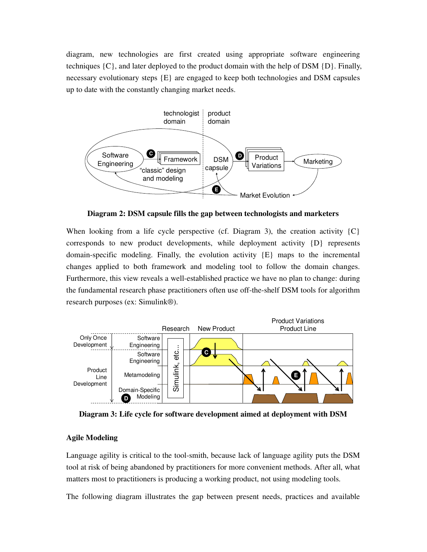diagram, new technologies are first created using appropriate software engineering techniques  $\{C\}$ , and later deployed to the product domain with the help of DSM  $\{D\}$ . Finally, necessary evolutionary steps {E} are engaged to keep both technologies and DSM capsules up to date with the constantly changing market needs.



**Diagram 2: DSM capsule fills the gap between technologists and marketers** 

When looking from a life cycle perspective (cf. Diagram 3), the creation activity  ${C}$ corresponds to new product developments, while deployment activity  $\{D\}$  represents domain-specific modeling. Finally, the evolution activity {E} maps to the incremental changes applied to both framework and modeling tool to follow the domain changes. Furthermore, this view reveals a well-established practice we have no plan to change: during the fundamental research phase practitioners often use off-the-shelf DSM tools for algorithm research purposes (ex: Simulink®).



**Diagram 3: Life cycle for software development aimed at deployment with DSM** 

# **Agile Modeling**

Language agility is critical to the tool-smith, because lack of language agility puts the DSM tool at risk of being abandoned by practitioners for more convenient methods. After all, what matters most to practitioners is producing a working product, not using modeling tools.

The following diagram illustrates the gap between present needs, practices and available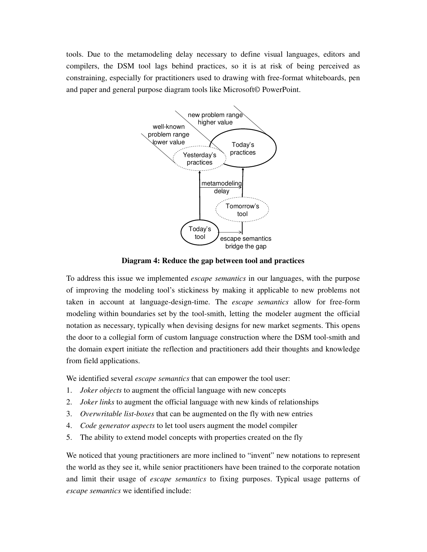tools. Due to the metamodeling delay necessary to define visual languages, editors and compilers, the DSM tool lags behind practices, so it is at risk of being perceived as constraining, especially for practitioners used to drawing with free-format whiteboards, pen and paper and general purpose diagram tools like Microsoft© PowerPoint.



**Diagram 4: Reduce the gap between tool and practices** 

To address this issue we implemented *escape semantics* in our languages, with the purpose of improving the modeling tool's stickiness by making it applicable to new problems not taken in account at language-design-time. The *escape semantics* allow for free-form modeling within boundaries set by the tool-smith, letting the modeler augment the official notation as necessary, typically when devising designs for new market segments. This opens the door to a collegial form of custom language construction where the DSM tool-smith and the domain expert initiate the reflection and practitioners add their thoughts and knowledge from field applications.

We identified several *escape semantics* that can empower the tool user:

- 1. *Joker objects* to augment the official language with new concepts
- 2. *Joker links* to augment the official language with new kinds of relationships
- 3. *Overwritable list-boxes* that can be augmented on the fly with new entries
- 4. *Code generator aspects* to let tool users augment the model compiler
- 5. The ability to extend model concepts with properties created on the fly

We noticed that young practitioners are more inclined to "invent" new notations to represent the world as they see it, while senior practitioners have been trained to the corporate notation and limit their usage of *escape semantics* to fixing purposes. Typical usage patterns of *escape semantics* we identified include: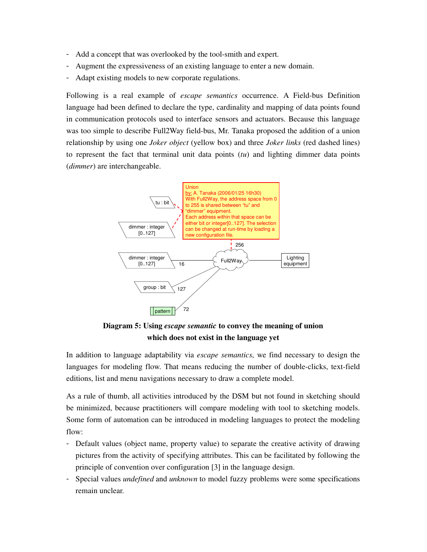- Add a concept that was overlooked by the tool-smith and expert.
- Augment the expressiveness of an existing language to enter a new domain.
- Adapt existing models to new corporate regulations.

Following is a real example of *escape semantics* occurrence. A Field-bus Definition language had been defined to declare the type, cardinality and mapping of data points found in communication protocols used to interface sensors and actuators. Because this language was too simple to describe Full2Way field-bus, Mr. Tanaka proposed the addition of a union relationship by using one *Joker object* (yellow box) and three *Joker links* (red dashed lines) to represent the fact that terminal unit data points (*tu*) and lighting dimmer data points (*dimmer*) are interchangeable.



**Diagram 5: Using** *escape semantic* **to convey the meaning of union which does not exist in the language yet** 

In addition to language adaptability via *escape semantics*, we find necessary to design the languages for modeling flow. That means reducing the number of double-clicks, text-field editions, list and menu navigations necessary to draw a complete model.

As a rule of thumb, all activities introduced by the DSM but not found in sketching should be minimized, because practitioners will compare modeling with tool to sketching models. Some form of automation can be introduced in modeling languages to protect the modeling flow:

- Default values (object name, property value) to separate the creative activity of drawing pictures from the activity of specifying attributes. This can be facilitated by following the principle of convention over configuration [3] in the language design.
- Special values *undefined* and *unknown* to model fuzzy problems were some specifications remain unclear.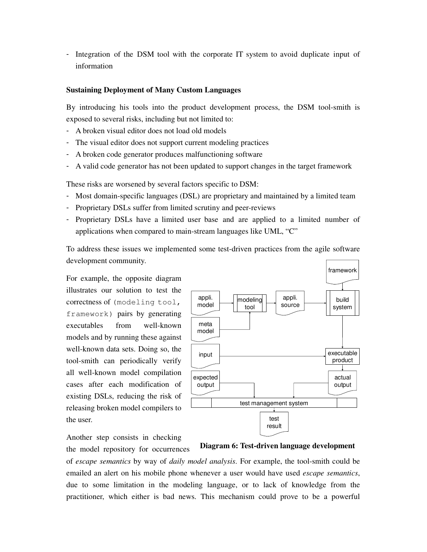- Integration of the DSM tool with the corporate IT system to avoid duplicate input of information

## **Sustaining Deployment of Many Custom Languages**

By introducing his tools into the product development process, the DSM tool-smith is exposed to several risks, including but not limited to:

- A broken visual editor does not load old models
- The visual editor does not support current modeling practices
- A broken code generator produces malfunctioning software
- A valid code generator has not been updated to support changes in the target framework

These risks are worsened by several factors specific to DSM:

- Most domain-specific languages (DSL) are proprietary and maintained by a limited team
- Proprietary DSLs suffer from limited scrutiny and peer-reviews
- Proprietary DSLs have a limited user base and are applied to a limited number of applications when compared to main-stream languages like UML, "C"

To address these issues we implemented some test-driven practices from the agile software development community.

For example, the opposite diagram illustrates our solution to test the correctness of (modeling tool, framework) pairs by generating executables from well-known models and by running these against well-known data sets. Doing so, the tool-smith can periodically verify all well-known model compilation cases after each modification of existing DSLs, reducing the risk of releasing broken model compilers to the user.



Another step consists in checking the model repository for occurrences

**Diagram 6: Test-driven language development**

of *escape semantics* by way of *daily model analysis*. For example, the tool-smith could be emailed an alert on his mobile phone whenever a user would have used *escape semantics*, due to some limitation in the modeling language, or to lack of knowledge from the practitioner, which either is bad news. This mechanism could prove to be a powerful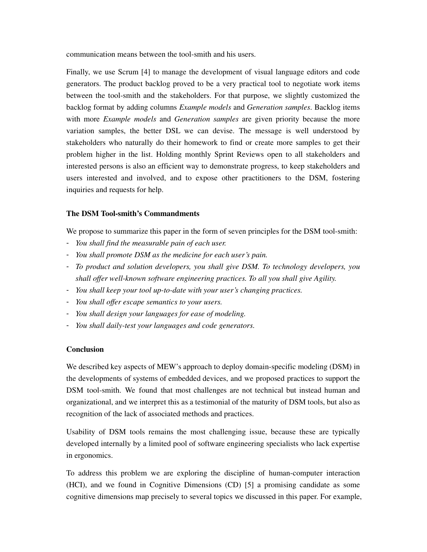communication means between the tool-smith and his users.

Finally, we use Scrum [4] to manage the development of visual language editors and code generators. The product backlog proved to be a very practical tool to negotiate work items between the tool-smith and the stakeholders. For that purpose, we slightly customized the backlog format by adding columns *Example models* and *Generation samples*. Backlog items with more *Example models* and *Generation samples* are given priority because the more variation samples, the better DSL we can devise. The message is well understood by stakeholders who naturally do their homework to find or create more samples to get their problem higher in the list. Holding monthly Sprint Reviews open to all stakeholders and interested persons is also an efficient way to demonstrate progress, to keep stakeholders and users interested and involved, and to expose other practitioners to the DSM, fostering inquiries and requests for help.

## **The DSM Tool-smith's Commandments**

We propose to summarize this paper in the form of seven principles for the DSM tool-smith:

- *You shall find the measurable pain of each user.*
- *You shall promote DSM as the medicine for each user's pain.*
- *To product and solution developers, you shall give DSM. To technology developers, you shall offer well-known software engineering practices. To all you shall give Agility.*
- *You shall keep your tool up-to-date with your user's changing practices.*
- *You shall offer escape semantics to your users.*
- *You shall design your languages for ease of modeling.*
- *You shall daily-test your languages and code generators.*

### **Conclusion**

We described key aspects of MEW's approach to deploy domain-specific modeling (DSM) in the developments of systems of embedded devices, and we proposed practices to support the DSM tool-smith. We found that most challenges are not technical but instead human and organizational, and we interpret this as a testimonial of the maturity of DSM tools, but also as recognition of the lack of associated methods and practices.

Usability of DSM tools remains the most challenging issue, because these are typically developed internally by a limited pool of software engineering specialists who lack expertise in ergonomics.

To address this problem we are exploring the discipline of human-computer interaction (HCI), and we found in Cognitive Dimensions (CD) [5] a promising candidate as some cognitive dimensions map precisely to several topics we discussed in this paper. For example,